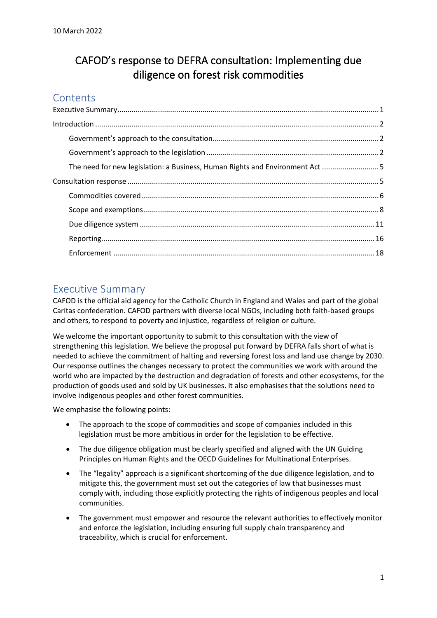# CAFOD's response to DEFRA consultation: Implementing due diligence on forest risk commodities

## **Contents**

| The need for new legislation: a Business, Human Rights and Environment Act 5 |  |
|------------------------------------------------------------------------------|--|
|                                                                              |  |
|                                                                              |  |
|                                                                              |  |
|                                                                              |  |
|                                                                              |  |
|                                                                              |  |

## <span id="page-0-0"></span>Executive Summary

CAFOD is the official aid agency for the Catholic Church in England and Wales and part of the global Caritas confederation. CAFOD partners with diverse local NGOs, including both faith-based groups and others, to respond to poverty and injustice, regardless of religion or culture.

We welcome the important opportunity to submit to this consultation with the view of strengthening this legislation. We believe the proposal put forward by DEFRA falls short of what is needed to achieve the commitment of halting and reversing forest loss and land use change by 2030. Our response outlines the changes necessary to protect the communities we work with around the world who are impacted by the destruction and degradation of forests and other ecosystems, for the production of goods used and sold by UK businesses. It also emphasises that the solutions need to involve indigenous peoples and other forest communities.

We emphasise the following points:

- The approach to the scope of commodities and scope of companies included in this legislation must be more ambitious in order for the legislation to be effective.
- The due diligence obligation must be clearly specified and aligned with the UN Guiding Principles on Human Rights and the OECD Guidelines for Multinational Enterprises.
- The "legality" approach is a significant shortcoming of the due diligence legislation, and to mitigate this, the government must set out the categories of law that businesses must comply with, including those explicitly protecting the rights of indigenous peoples and local communities.
- The government must empower and resource the relevant authorities to effectively monitor and enforce the legislation, including ensuring full supply chain transparency and traceability, which is crucial for enforcement.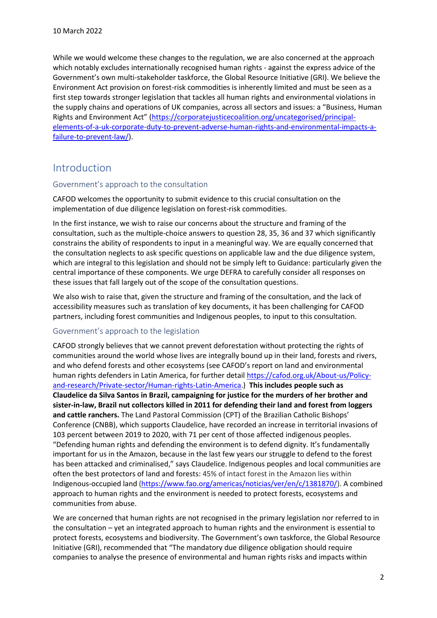While we would welcome these changes to the regulation, we are also concerned at the approach which notably excludes internationally recognised human rights - against the express advice of the Government's own multi-stakeholder taskforce, the Global Resource Initiative (GRI). We believe the Environment Act provision on forest-risk commodities is inherently limited and must be seen as a first step towards stronger legislation that tackles all human rights and environmental violations in the supply chains and operations of UK companies, across all sectors and issues: a "Business, Human Rights and Environment Act" [\(https://corporatejusticecoalition.org/uncategorised/principal](https://corporatejusticecoalition.org/uncategorised/principal-elements-of-a-uk-corporate-duty-to-prevent-adverse-human-rights-and-environmental-impacts-a-failure-to-prevent-law/)[elements-of-a-uk-corporate-duty-to-prevent-adverse-human-rights-and-environmental-impacts-a](https://corporatejusticecoalition.org/uncategorised/principal-elements-of-a-uk-corporate-duty-to-prevent-adverse-human-rights-and-environmental-impacts-a-failure-to-prevent-law/)[failure-to-prevent-law/\)](https://corporatejusticecoalition.org/uncategorised/principal-elements-of-a-uk-corporate-duty-to-prevent-adverse-human-rights-and-environmental-impacts-a-failure-to-prevent-law/).

## <span id="page-1-0"></span>Introduction

#### <span id="page-1-1"></span>Government's approach to the consultation

CAFOD welcomes the opportunity to submit evidence to this crucial consultation on the implementation of due diligence legislation on forest-risk commodities.

In the first instance, we wish to raise our concerns about the structure and framing of the consultation, such as the multiple-choice answers to question 28, 35, 36 and 37 which significantly constrains the ability of respondents to input in a meaningful way. We are equally concerned that the consultation neglects to ask specific questions on applicable law and the due diligence system, which are integral to this legislation and should not be simply left to Guidance: particularly given the central importance of these components. We urge DEFRA to carefully consider all responses on these issues that fall largely out of the scope of the consultation questions.

We also wish to raise that, given the structure and framing of the consultation, and the lack of accessibility measures such as translation of key documents, it has been challenging for CAFOD partners, including forest communities and Indigenous peoples, to input to this consultation.

#### <span id="page-1-2"></span>Government's approach to the legislation

CAFOD strongly believes that we cannot prevent deforestation without protecting the rights of communities around the world whose lives are integrally bound up in their land, forests and rivers, and who defend forests and other ecosystems (see CAFOD's report on land and environmental human rights defenders in Latin America, for further detail [https://cafod.org.uk/About-us/Policy](https://cafod.org.uk/About-us/Policy-and-research/Private-sector/Human-rights-Latin-America)[and-research/Private-sector/Human-rights-Latin-America.](https://cafod.org.uk/About-us/Policy-and-research/Private-sector/Human-rights-Latin-America)) **This includes people such as Claudelice da Silva Santos in Brazil, campaigning for justice for the murders of her brother and sister-in-law, Brazil nut collectors killed in 2011 for defending their land and forest from loggers and cattle ranchers.** The Land Pastoral Commission (CPT) of the Brazilian Catholic Bishops' Conference (CNBB), which supports Claudelice, have recorded an increase in territorial invasions of 103 percent between 2019 to 2020, with 71 per cent of those affected indigenous peoples. "Defending human rights and defending the environment is to defend dignity. It's fundamentally important for us in the Amazon, because in the last few years our struggle to defend to the forest has been attacked and criminalised," says Claudelice. Indigenous peoples and local communities are often the best protectors of land and forests: 45% of intact forest in the Amazon lies within Indigenous-occupied land [\(https://www.fao.org/americas/noticias/ver/en/c/1381870/\)](https://www.fao.org/americas/noticias/ver/en/c/1381870/). A combined approach to human rights and the environment is needed to protect forests, ecosystems and communities from abuse.

We are concerned that human rights are not recognised in the primary legislation nor referred to in the consultation – yet an integrated approach to human rights and the environment is essential to protect forests, ecosystems and biodiversity. The Government's own taskforce, the Global Resource Initiative (GRI), recommended that "The mandatory due diligence obligation should require companies to analyse the presence of environmental and human rights risks and impacts within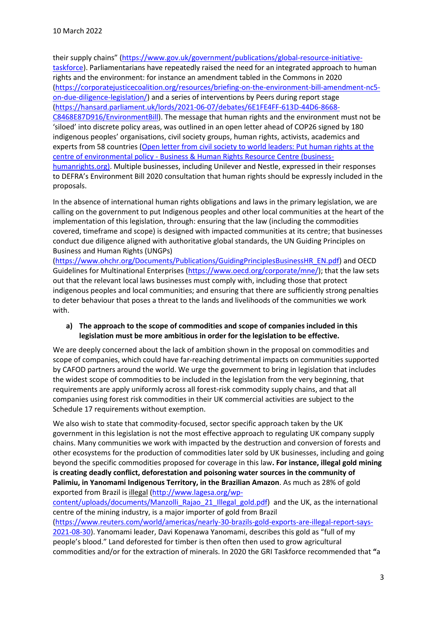their supply chains" [\(https://www.gov.uk/government/publications/global-resource-initiative](https://www.gov.uk/government/publications/global-resource-initiative-taskforce)[taskforce\)](https://www.gov.uk/government/publications/global-resource-initiative-taskforce). Parliamentarians have repeatedly raised the need for an integrated approach to human rights and the environment: for instance an amendment tabled in the Commons in 2020 [\(https://corporatejusticecoalition.org/resources/briefing-on-the-environment-bill-amendment-nc5](https://corporatejusticecoalition.org/resources/briefing-on-the-environment-bill-amendment-nc5-on-due-diligence-legislation/) [on-due-diligence-legislation/\)](https://corporatejusticecoalition.org/resources/briefing-on-the-environment-bill-amendment-nc5-on-due-diligence-legislation/) and a series of interventions by Peers during report stage [\(https://hansard.parliament.uk/lords/2021-06-07/debates/6E1FE4FF-613D-44D6-8668-](https://hansard.parliament.uk/lords/2021-06-07/debates/6E1FE4FF-613D-44D6-8668-C8468E87D916/EnvironmentBill) [C8468E87D916/EnvironmentBill\)](https://hansard.parliament.uk/lords/2021-06-07/debates/6E1FE4FF-613D-44D6-8668-C8468E87D916/EnvironmentBill). The message that human rights and the environment must not be 'siloed' into discrete policy areas, was outlined in an open letter ahead of COP26 signed by 180 indigenous peoples' organisations, civil society groups, human rights, activists, academics and experts from 58 countries [\(Open letter from civil society to world leaders: Put human rights at the](https://www.business-humanrights.org/en/latest-news/open-letter-from-civil-society-to-world-leaders-put-human-rights-at-the-centre-of-environmental-policy/)  centre of environmental policy - [Business & Human Rights Resource Centre \(business](https://www.business-humanrights.org/en/latest-news/open-letter-from-civil-society-to-world-leaders-put-human-rights-at-the-centre-of-environmental-policy/)[humanrights.org\).](https://www.business-humanrights.org/en/latest-news/open-letter-from-civil-society-to-world-leaders-put-human-rights-at-the-centre-of-environmental-policy/) Multiple businesses, including Unilever and Nestle, expressed in their responses to DEFRA's Environment Bill 2020 consultation that human rights should be expressly included in the proposals.

In the absence of international human rights obligations and laws in the primary legislation, we are calling on the government to put Indigenous peoples and other local communities at the heart of the implementation of this legislation, through: ensuring that the law (including the commodities covered, timeframe and scope) is designed with impacted communities at its centre; that businesses conduct due diligence aligned with authoritative global standards, the UN Guiding Principles on Business and Human Rights (UNGPs)

[\(https://www.ohchr.org/Documents/Publications/GuidingPrinciplesBusinessHR\\_EN.pdf\)](https://www.ohchr.org/Documents/Publications/GuidingPrinciplesBusinessHR_EN.pdf) and OECD Guidelines for Multinational Enterprises [\(https://www.oecd.org/corporate/mne/\)](https://www.oecd.org/corporate/mne/); that the law sets out that the relevant local laws businesses must comply with, including those that protect indigenous peoples and local communities; and ensuring that there are sufficiently strong penalties to deter behaviour that poses a threat to the lands and livelihoods of the communities we work with.

#### **a) The approach to the scope of commodities and scope of companies included in this legislation must be more ambitious in order for the legislation to be effective.**

We are deeply concerned about the lack of ambition shown in the proposal on commodities and scope of companies, which could have far-reaching detrimental impacts on communities supported by CAFOD partners around the world. We urge the government to bring in legislation that includes the widest scope of commodities to be included in the legislation from the very beginning, that requirements are apply uniformly across all forest-risk commodity supply chains, and that all companies using forest risk commodities in their UK commercial activities are subject to the Schedule 17 requirements without exemption.

We also wish to state that commodity-focused, sector specific approach taken by the UK government in this legislation is not the most effective approach to regulating UK company supply chains. Many communities we work with impacted by the destruction and conversion of forests and other ecosystems for the production of commodities later sold by UK businesses, including and going beyond the specific commodities proposed for coverage in this law**. For instance, illegal gold mining is creating deadly conflict, deforestation and poisoning water sources in the community of Palimiu, in Yanomami Indigenous Territory, in the Brazilian Amazon**. As much as 28% of gold exported from Brazil i[s illegal](http://www.lagesa.org/wp-content/uploads/documents/Manzolli_Rajao_21_Illegal_gold.pdf) [\(http://www.lagesa.org/wp-](http://www.lagesa.org/wp-content/uploads/documents/Manzolli_Rajao_21_Illegal_gold.pdf)

[content/uploads/documents/Manzolli\\_Rajao\\_21\\_Illegal\\_gold.pdf\)](http://www.lagesa.org/wp-content/uploads/documents/Manzolli_Rajao_21_Illegal_gold.pdf) and the UK, as the international centre of the mining industry, is a major [importer](https://www.reuters.com/world/americas/nearly-30-brazils-gold-exports-are-illegal-report-says-2021-08-30/) of gold from Brazil

[\(https://www.reuters.com/world/americas/nearly-30-brazils-gold-exports-are-illegal-report-says-](https://www.reuters.com/world/americas/nearly-30-brazils-gold-exports-are-illegal-report-says-2021-08-30)[2021-08-30\)](https://www.reuters.com/world/americas/nearly-30-brazils-gold-exports-are-illegal-report-says-2021-08-30). Yanomami leader, Davi Kopenawa Yanomami, describes this gold as "full of my people's blood." Land deforested for timber is then often then used to grow agricultural commodities and/or for the extraction of minerals. In 2020 the GRI Taskforce recommended that **"**a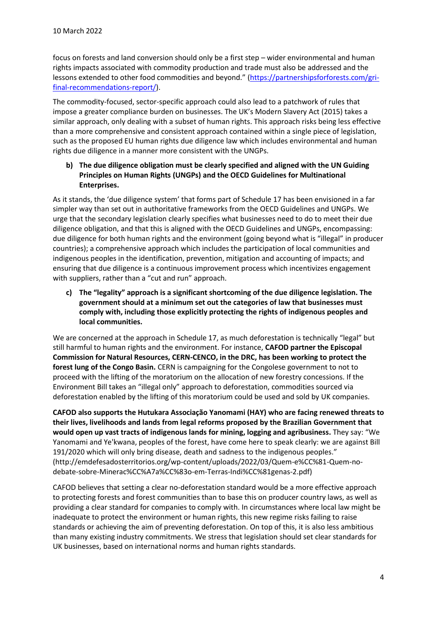focus on forests and land conversion should only be a first step – wider environmental and human rights impacts associated with commodity production and trade must also be addressed and the lessons extended to other food commodities and beyond." [\(https://partnershipsforforests.com/gri](https://partnershipsforforests.com/gri-final-recommendations-report/)[final-recommendations-report/\)](https://partnershipsforforests.com/gri-final-recommendations-report/).

The commodity-focused, sector-specific approach could also lead to a patchwork of rules that impose a greater compliance burden on businesses. The UK's Modern Slavery Act (2015) takes a similar approach, only dealing with a subset of human rights. This approach risks being less effective than a more comprehensive and consistent approach contained within a single piece of legislation, such as the proposed EU human rights due diligence law which includes environmental and human rights due diligence in a manner more consistent with the UNGPs.

**b) The due diligence obligation must be clearly specified and aligned with the UN Guiding Principles on Human Rights (UNGPs) and the OECD Guidelines for Multinational Enterprises.**

As it stands, the 'due diligence system' that forms part of Schedule 17 has been envisioned in a far simpler way than set out in authoritative frameworks from the OECD Guidelines and UNGPs. We urge that the secondary legislation clearly specifies what businesses need to do to meet their due diligence obligation, and that this is aligned with the OECD Guidelines and UNGPs, encompassing: due diligence for both human rights and the environment (going beyond what is "illegal" in producer countries); a comprehensive approach which includes the participation of local communities and indigenous peoples in the identification, prevention, mitigation and accounting of impacts; and ensuring that due diligence is a continuous improvement process which incentivizes engagement with suppliers, rather than a "cut and run" approach.

**c) The "legality" approach is a significant shortcoming of the due diligence legislation. The government should at a minimum set out the categories of law that businesses must comply with, including those explicitly protecting the rights of indigenous peoples and local communities.**

We are concerned at the approach in Schedule 17, as much deforestation is technically "legal" but still harmful to human rights and the environment. For instance, **CAFOD partner the Episcopal Commission for Natural Resources, CERN-CENCO, in the DRC, has been working to protect the forest lung of the Congo Basin.** CERN is campaigning for the Congolese government to not to proceed with the lifting of the moratorium on the allocation of new forestry concessions. If the Environment Bill takes an "illegal only" approach to deforestation, commodities sourced via deforestation enabled by the lifting of this moratorium could be used and sold by UK companies.

**CAFOD also supports the Hutukara Associação Yanomami (HAY) who are facing renewed threats to their lives, livelihoods and lands from legal reforms proposed by the Brazilian Government that would open up vast tracts of indigenous lands for mining, logging and agribusiness.** They say: "We Yanomami and Ye'kwana, peoples of the forest, have come here to speak clearly: we are against Bill 191/2020 which will only bring disease, death and sadness to the indigenous peoples." (http://emdefesadosterritorios.org/wp-content/uploads/2022/03/Quem-e%CC%81-Quem-nodebate-sobre-Minerac%CC%A7a%CC%83o-em-Terras-Indi%CC%81genas-2.pdf)

CAFOD believes that setting a clear no-deforestation standard would be a more effective approach to protecting forests and forest communities than to base this on producer country laws, as well as providing a clear standard for companies to comply with. In circumstances where local law might be inadequate to protect the environment or human rights, this new regime risks failing to raise standards or achieving the aim of preventing deforestation. On top of this, it is also less ambitious than many existing industry commitments. We stress that legislation should set clear standards for UK businesses, based on international norms and human rights standards.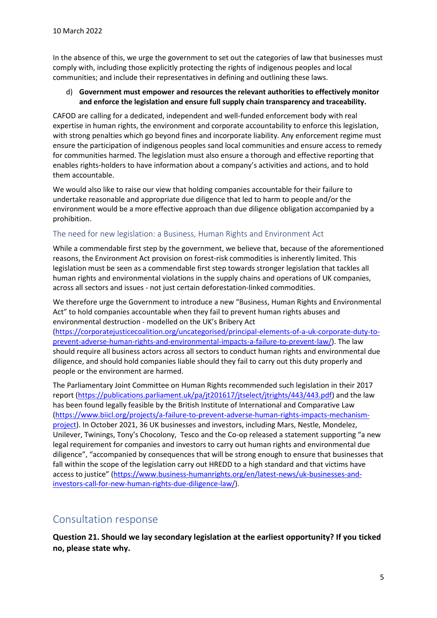In the absence of this, we urge the government to set out the categories of law that businesses must comply with, including those explicitly protecting the rights of indigenous peoples and local communities; and include their representatives in defining and outlining these laws.

#### d) **Government must empower and resources the relevant authorities to effectively monitor and enforce the legislation and ensure full supply chain transparency and traceability.**

CAFOD are calling for a dedicated, independent and well-funded enforcement body with real expertise in human rights, the environment and corporate accountability to enforce this legislation, with strong penalties which go beyond fines and incorporate liability. Any enforcement regime must ensure the participation of indigenous peoples sand local communities and ensure access to remedy for communities harmed. The legislation must also ensure a thorough and effective reporting that enables rights-holders to have information about a company's activities and actions, and to hold them accountable.

We would also like to raise our view that holding companies accountable for their failure to undertake reasonable and appropriate due diligence that led to harm to people and/or the environment would be a more effective approach than due diligence obligation accompanied by a prohibition.

#### <span id="page-4-0"></span>The need for new legislation: a Business, Human Rights and Environment Act

While a commendable first step by the government, we believe that, because of the aforementioned reasons, the Environment Act provision on forest-risk commodities is inherently limited. This legislation must be seen as a commendable first step towards stronger legislation that tackles all human rights and environmental violations in the supply chains and operations of UK companies, across all sectors and issues - not just certain deforestation-linked commodities.

We therefore urge the Government to introduce a new "Business, Human Rights and Environmental Act" to hold companies accountable when they fail to prevent human rights abuses and environmental destruction - modelled on the UK's Bribery Act

[\(https://corporatejusticecoalition.org/uncategorised/principal-elements-of-a-uk-corporate-duty-to](https://corporatejusticecoalition.org/uncategorised/principal-elements-of-a-uk-corporate-duty-to-prevent-adverse-human-rights-and-environmental-impacts-a-failure-to-prevent-law/)[prevent-adverse-human-rights-and-environmental-impacts-a-failure-to-prevent-law/\)](https://corporatejusticecoalition.org/uncategorised/principal-elements-of-a-uk-corporate-duty-to-prevent-adverse-human-rights-and-environmental-impacts-a-failure-to-prevent-law/). The law should require all business actors across all sectors to conduct human rights and environmental due diligence, and should hold companies liable should they fail to carry out this duty properly and people or the environment are harmed.

The Parliamentary Joint Committee on Human Rights recommended such legislation in their 2017 report [\(https://publications.parliament.uk/pa/jt201617/jtselect/jtrights/443/443.pdf\)](https://publications.parliament.uk/pa/jt201617/jtselect/jtrights/443/443.pdf) and the law has been found legally feasible by the British Institute of International and Comparative Law [\(https://www.biicl.org/projects/a-failure-to-prevent-adverse-human-rights-impacts-mechanism](https://www.biicl.org/projects/a-failure-to-prevent-adverse-human-rights-impacts-mechanism-project)[project\)](https://www.biicl.org/projects/a-failure-to-prevent-adverse-human-rights-impacts-mechanism-project). In October 2021, 36 UK businesses and investors, including Mars, Nestle, Mondelez, Unilever, Twinings, Tony's Chocolony, Tesco and the Co-op released a statement supporting "a new legal requirement for companies and investors to carry out human rights and environmental due diligence", "accompanied by consequences that will be strong enough to ensure that businesses that fall within the scope of the legislation carry out HREDD to a high standard and that victims have access to justice" [\(https://www.business-humanrights.org/en/latest-news/uk-businesses-and](https://www.business-humanrights.org/en/latest-news/uk-businesses-and-investors-call-for-new-human-rights-due-diligence-law/)[investors-call-for-new-human-rights-due-diligence-law/\)](https://www.business-humanrights.org/en/latest-news/uk-businesses-and-investors-call-for-new-human-rights-due-diligence-law/).

## <span id="page-4-1"></span>Consultation response

**Question 21. Should we lay secondary legislation at the earliest opportunity? If you ticked no, please state why.**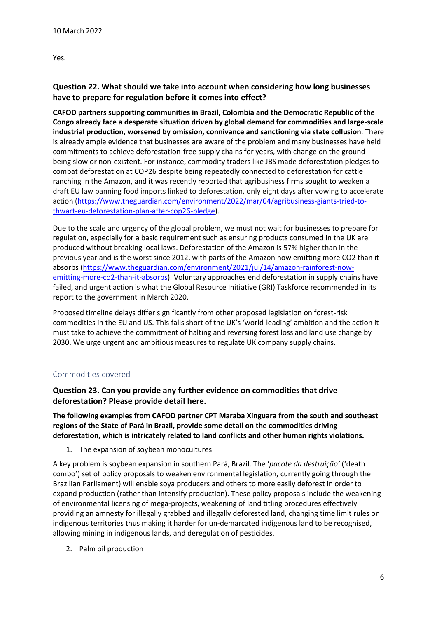Yes.

## **Question 22. What should we take into account when considering how long businesses have to prepare for regulation before it comes into effect?**

**CAFOD partners supporting communities in Brazil, Colombia and the Democratic Republic of the Congo already face a desperate situation driven by global demand for commodities and large-scale industrial production, worsened by omission, connivance and sanctioning via state collusion**. There is already ample evidence that businesses are aware of the problem and many businesses have held commitments to achieve deforestation-free supply chains for years, with change on the ground being slow or non-existent. For instance, commodity traders like JBS made deforestation pledges to combat deforestation at COP26 despite being repeatedly connected to [deforestation for cattle](https://www.theguardian.com/environment/2020/jul/27/revealed-new-evidence-links-brazil-meat-giant-jbs-to-amazon-deforestation)  [ranching](https://www.theguardian.com/environment/2020/jul/27/revealed-new-evidence-links-brazil-meat-giant-jbs-to-amazon-deforestation) in the Amazon, and it was recently reported that agribusiness firms sought to weaken a draft EU law banning food imports linked to deforestation, only eight days after vowing to accelerate action [\(https://www.theguardian.com/environment/2022/mar/04/agribusiness-giants-tried-to](https://www.theguardian.com/environment/2022/mar/04/agribusiness-giants-tried-to-thwart-eu-deforestation-plan-after-cop26-pledge)[thwart-eu-deforestation-plan-after-cop26-pledge\)](https://www.theguardian.com/environment/2022/mar/04/agribusiness-giants-tried-to-thwart-eu-deforestation-plan-after-cop26-pledge).

Due to the scale and urgency of the global problem, we must not wait for businesses to prepare for regulation, especially for a basic requirement such as ensuring products consumed in the UK are produced without breaking local laws. Deforestation of the Amazon is 57% higher than in the previous year and is the worst since 2012, with parts of the Amazon now emitting more CO2 than it absorbs [\(https://www.theguardian.com/environment/2021/jul/14/amazon-rainforest-now](https://www.theguardian.com/environment/2021/jul/14/amazon-rainforest-now-emitting-more-co2-than-it-absorbs)[emitting-more-co2-than-it-absorbs\)](https://www.theguardian.com/environment/2021/jul/14/amazon-rainforest-now-emitting-more-co2-than-it-absorbs). Voluntary approaches end deforestation in supply chains have failed, and urgent action is what the Global Resource Initiative (GRI) Taskforce recommended in its report to the government in March 2020.

Proposed timeline delays differ significantly from other proposed legislation on forest-risk commodities in the EU and US. This falls short of the UK's 'world-leading' ambition and the action it must take to achieve the commitment of halting and reversing forest loss and land use change by 2030. We urge urgent and ambitious measures to regulate UK company supply chains.

## <span id="page-5-0"></span>Commodities covered

**Question 23. Can you provide any further evidence on commodities that drive deforestation? Please provide detail here.**

**The following examples from CAFOD partner CPT Maraba Xinguara from the south and southeast regions of the State of Pará in Brazil, provide some detail on the commodities driving deforestation, which is intricately related to land conflicts and other human rights violations.** 

1. The expansion of soybean monocultures

A key problem is soybean expansion in southern Pará, Brazil. The '*pacote da destruição'* ('death combo') set of policy proposals to weaken environmental legislation, currently going through the Brazilian Parliament) will enable soya producers and others to more easily deforest in order to expand production (rather than intensify production). These policy proposals include the weakening of environmental licensing of mega-projects, weakening of land titling procedures effectively providing an amnesty for illegally grabbed and illegally deforested land, changing time limit rules on indigenous territories thus making it harder for un-demarcated indigenous land to be recognised, allowing mining in indigenous lands, and deregulation of pesticides.

2. Palm oil production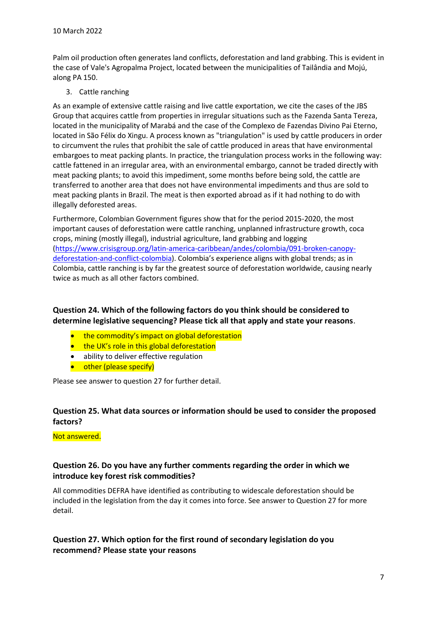Palm oil production often generates land conflicts, deforestation and land grabbing. This is evident in the case of Vale's Agropalma Project, located between the municipalities of Tailândia and Mojú, along PA 150.

3. Cattle ranching

As an example of extensive cattle raising and live cattle exportation, we cite the cases of the JBS Group that acquires cattle from properties in irregular situations such as the Fazenda Santa Tereza, located in the municipality of Marabá and the case of the Complexo de Fazendas Divino Pai Eterno, located in São Félix do Xingu. A process known as "triangulation" is used by cattle producers in order to circumvent the rules that prohibit the sale of cattle produced in areas that have environmental embargoes to meat packing plants. In practice, the triangulation process works in the following way: cattle fattened in an irregular area, with an environmental embargo, cannot be traded directly with meat packing plants; to avoid this impediment, some months before being sold, the cattle are transferred to another area that does not have environmental impediments and thus are sold to meat packing plants in Brazil. The meat is then exported abroad as if it had nothing to do with illegally deforested areas.

Furthermore, Colombian Government figures show that for the period 2015-2020, the most important causes of deforestation were cattle ranching, unplanned infrastructure growth, coca crops, mining (mostly illegal), industrial agriculture, land grabbing and logging [\(https://www.crisisgroup.org/latin-america-caribbean/andes/colombia/091-broken-canopy](https://www.crisisgroup.org/latin-america-caribbean/andes/colombia/091-broken-canopy-deforestation-and-conflict-colombia)[deforestation-and-conflict-colombia\)](https://www.crisisgroup.org/latin-america-caribbean/andes/colombia/091-broken-canopy-deforestation-and-conflict-colombia). Colombia's experience aligns with global trends; as in Colombia, cattle ranching is by far the greatest source of deforestation worldwide, causing nearly twice as much as all other factors combined.

#### **Question 24. Which of the following factors do you think should be considered to determine legislative sequencing? Please tick all that apply and state your reasons**.

- the commodity's impact on global deforestation
- the UK's role in this global deforestation
- ability to deliver effective regulation
- other (please specify)

Please see answer to question 27 for further detail.

#### **Question 25. What data sources or information should be used to consider the proposed factors?**

Not answered.

#### **Question 26. Do you have any further comments regarding the order in which we introduce key forest risk commodities?**

All commodities DEFRA have identified as contributing to widescale deforestation should be included in the legislation from the day it comes into force. See answer to Question 27 for more detail.

## **Question 27. Which option for the first round of secondary legislation do you recommend? Please state your reasons**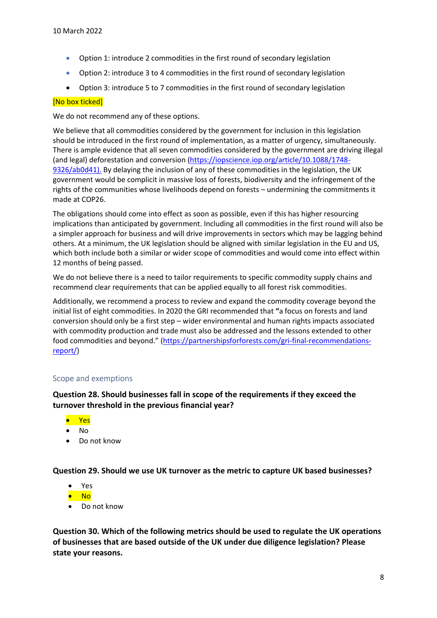- Option 1: introduce 2 commodities in the first round of secondary legislation
- Option 2: introduce 3 to 4 commodities in the first round of secondary legislation
- Option 3: introduce 5 to 7 commodities in the first round of secondary legislation

#### [No box ticked]

We do not recommend any of these options.

We believe that all commodities considered by the government for inclusion in this legislation should be introduced in the first round of implementation, as a matter of urgency, simultaneously. There is ample evidence that all seven commodities considered by the government are driving illegal (and legal) deforestation and conversion [\(https://iopscience.iop.org/article/10.1088/1748-](https://iopscience.iop.org/article/10.1088/1748-9326/ab0d41) [9326/ab0d41\)](https://iopscience.iop.org/article/10.1088/1748-9326/ab0d41). By delaying the inclusion of any of these commodities in the legislation, the UK government would be complicit in massive loss of forests, biodiversity and the infringement of the rights of the communities whose livelihoods depend on forests – undermining the commitments it made at COP26.

The obligations should come into effect as soon as possible, even if this has higher resourcing implications than anticipated by government. Including all commodities in the first round will also be a simpler approach for business and will drive improvements in sectors which may be lagging behind others. At a minimum, the UK legislation should be aligned with similar legislation in the EU and US, which both include both a similar or wider scope of commodities and would come into effect within 12 months of being passed.

We do not believe there is a need to tailor requirements to specific commodity supply chains and recommend clear requirements that can be applied equally to all forest risk commodities.

Additionally, we recommend a process to review and expand the commodity coverage beyond the initial list of eight commodities. In 2020 the GRI recommended that **"**a focus on forests and land conversion should only be a first step – wider environmental and human rights impacts associated with commodity production and trade must also be addressed and the lessons extended to other food commodities and beyond." [\(https://partnershipsforforests.com/gri-final-recommendations](https://partnershipsforforests.com/gri-final-recommendations-report/)[report/\)](https://partnershipsforforests.com/gri-final-recommendations-report/)

#### <span id="page-7-0"></span>Scope and exemptions

**Question 28. Should businesses fall in scope of the requirements if they exceed the turnover threshold in the previous financial year?** 

- Yes
- No
- Do not know

**Question 29. Should we use UK turnover as the metric to capture UK based businesses?** 

- Yes
- No
- Do not know

**Question 30. Which of the following metrics should be used to regulate the UK operations of businesses that are based outside of the UK under due diligence legislation? Please state your reasons.**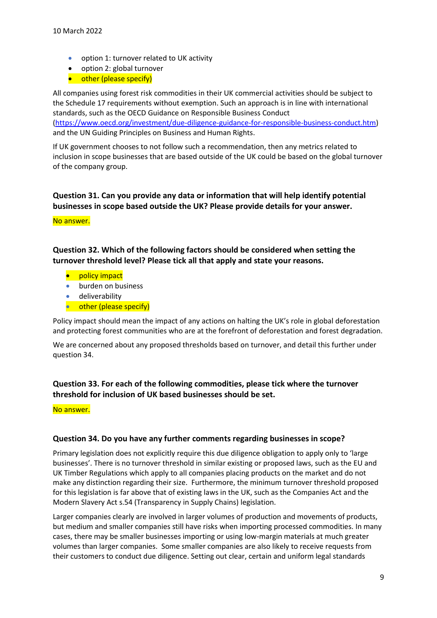- option 1: turnover related to UK activity
- option 2: global turnover
- other (please specify)

All companies using forest risk commodities in their UK commercial activities should be subject to the Schedule 17 requirements without exemption. Such an approach is in line with international standards, such as the OECD Guidance on Responsible Business Conduct

[\(https://www.oecd.org/investment/due-diligence-guidance-for-responsible-business-conduct.htm\)](https://www.oecd.org/investment/due-diligence-guidance-for-responsible-business-conduct.htm) and the UN Guiding Principles on Business and Human Rights.

If UK government chooses to not follow such a recommendation, then any metrics related to inclusion in scope businesses that are based outside of the UK could be based on the global turnover of the company group.

## **Question 31. Can you provide any data or information that will help identify potential businesses in scope based outside the UK? Please provide details for your answer.**

#### No answer.

**Question 32. Which of the following factors should be considered when setting the turnover threshold level? Please tick all that apply and state your reasons.** 

- policy impact
- burden on business
- deliverability
- **•** other (please specify)

Policy impact should mean the impact of any actions on halting the UK's role in global deforestation and protecting forest communities who are at the forefront of deforestation and forest degradation.

We are concerned about any proposed thresholds based on turnover, and detail this further under question 34.

## **Question 33. For each of the following commodities, please tick where the turnover threshold for inclusion of UK based businesses should be set.**

No answer.

#### **Question 34. Do you have any further comments regarding businesses in scope?**

Primary legislation does not explicitly require this due diligence obligation to apply only to 'large businesses'. There is no turnover threshold in similar existing or proposed laws, such as the EU and UK Timber Regulations which apply to all companies placing products on the market and do not make any distinction regarding their size. Furthermore, the minimum turnover threshold proposed for this legislation is far above that of existing laws in the UK, such as the Companies Act and the Modern Slavery Act s.54 (Transparency in Supply Chains) legislation.

Larger companies clearly are involved in larger volumes of production and movements of products, but medium and smaller companies still have risks when importing processed commodities. In many cases, there may be smaller businesses importing or using low-margin materials at much greater volumes than larger companies. Some smaller companies are also likely to receive requests from their customers to conduct due diligence. Setting out clear, certain and uniform legal standards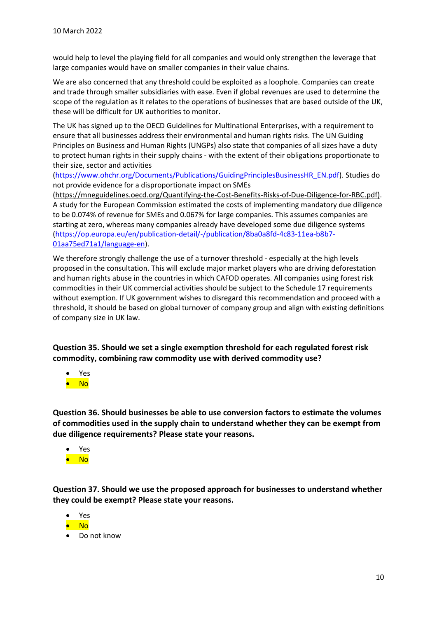would help to level the playing field for all companies and would only strengthen the leverage that large companies would have on smaller companies in their value chains.

We are also concerned that any threshold could be exploited as a loophole. Companies can create and trade through smaller subsidiaries with ease. Even if global revenues are used to determine the scope of the regulation as it relates to the operations of businesses that are based outside of the UK, these will be difficult for UK authorities to monitor.

The UK has signed up to the OECD Guidelines for Multinational Enterprises, with a requirement to ensure that all businesses address their environmental and human rights risks. The UN Guiding Principles on Business and Human Rights (UNGPs) also state that companies of all sizes have a duty to protect human rights in their supply chains - with the extent of their obligations proportionate to their size, sector and activities

[\(https://www.ohchr.org/Documents/Publications/GuidingPrinciplesBusinessHR\\_EN.pdf\)](https://www.ohchr.org/Documents/Publications/GuidingPrinciplesBusinessHR_EN.pdf). Studies do not provide evidence for a disproportionate impact on SMEs

[\(https://mneguidelines.oecd.org/Quantifying-the-Cost-Benefits-Risks-of-Due-Diligence-for-RBC.pdf\)](https://mneguidelines.oecd.org/Quantifying-the-Cost-Benefits-Risks-of-Due-Diligence-for-RBC.pdf). A study for the European Commission estimated the costs of implementing mandatory due diligence to be 0.074% of revenue for SMEs and 0.067% for large companies. This assumes companies are starting at zero, whereas many companies already have developed some due diligence systems [\(https://op.europa.eu/en/publication-detail/-/publication/8ba0a8fd-4c83-11ea-b8b7-](https://op.europa.eu/en/publication-detail/-/publication/8ba0a8fd-4c83-11ea-b8b7-01aa75ed71a1/language-en) [01aa75ed71a1/language-en\)](https://op.europa.eu/en/publication-detail/-/publication/8ba0a8fd-4c83-11ea-b8b7-01aa75ed71a1/language-en).

We therefore strongly challenge the use of a turnover threshold - especially at the high levels proposed in the consultation. This will exclude major market players who are driving deforestation and human rights abuse in the countries in which CAFOD operates. All companies using forest risk commodities in their UK commercial activities should be subject to the Schedule 17 requirements without exemption. If UK government wishes to disregard this recommendation and proceed with a threshold, it should be based on global turnover of company group and align with existing definitions of company size in UK law.

**Question 35. Should we set a single exemption threshold for each regulated forest risk commodity, combining raw commodity use with derived commodity use?**

- Yes
- No

**Question 36. Should businesses be able to use conversion factors to estimate the volumes of commodities used in the supply chain to understand whether they can be exempt from due diligence requirements? Please state your reasons.**

- Yes
- No

**Question 37. Should we use the proposed approach for businesses to understand whether they could be exempt? Please state your reasons.** 

- Yes
- No
- Do not know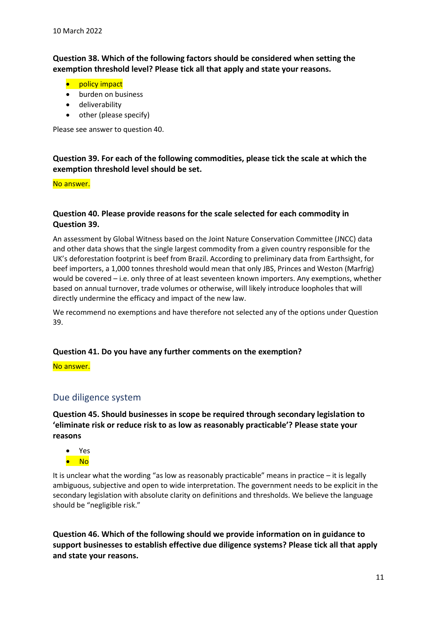**Question 38. Which of the following factors should be considered when setting the exemption threshold level? Please tick all that apply and state your reasons.** 

- policy impact
- burden on business
- deliverability
- other (please specify)

Please see answer to question 40.

## **Question 39. For each of the following commodities, please tick the scale at which the exemption threshold level should be set.**

#### No answer.

#### **Question 40. Please provide reasons for the scale selected for each commodity in Question 39.**

An assessment by Global Witness based on the Joint Nature Conservation Committee (JNCC) data and other data shows that the single largest commodity from a given country responsible for the UK's deforestation footprint is beef from Brazil. According to preliminary data from Earthsight, for beef importers, a 1,000 tonnes threshold would mean that only JBS, Princes and Weston (Marfrig) would be covered – i.e. only three of at least seventeen known importers. Any exemptions, whether based on annual turnover, trade volumes or otherwise, will likely introduce loopholes that will directly undermine the efficacy and impact of the new law.

We recommend no exemptions and have therefore not selected any of the options under Question 39.

#### **Question 41. Do you have any further comments on the exemption?**

No answer.

## <span id="page-10-0"></span>Due diligence system

**Question 45. Should businesses in scope be required through secondary legislation to 'eliminate risk or reduce risk to as low as reasonably practicable'? Please state your reasons**

- Yes
- No

It is unclear what the wording "as low as reasonably practicable" means in practice – it is legally ambiguous, subjective and open to wide interpretation. The government needs to be explicit in the secondary legislation with absolute clarity on definitions and thresholds. We believe the language should be "negligible risk."

**Question 46. Which of the following should we provide information on in guidance to support businesses to establish effective due diligence systems? Please tick all that apply and state your reasons.**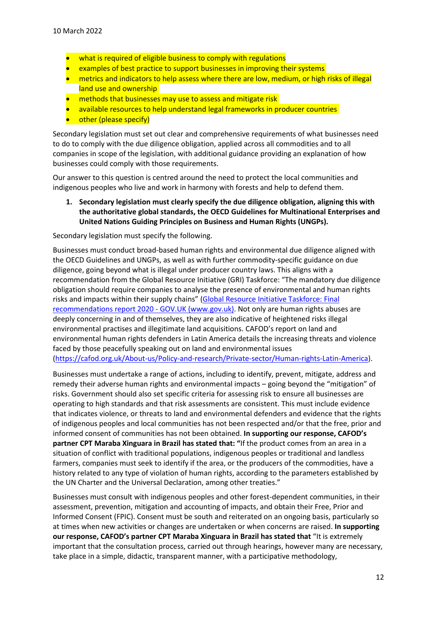- what is required of eligible business to comply with regulations
- examples of best practice to support businesses in improving their systems
- metrics and indicators to help assess where there are low, medium, or high risks of illegal land use and ownership
- methods that businesses may use to assess and mitigate risk
- available resources to help understand legal frameworks in producer countries
- other (please specify)

Secondary legislation must set out clear and comprehensive requirements of what businesses need to do to comply with the due diligence obligation, applied across all commodities and to all companies in scope of the legislation, with additional guidance providing an explanation of how businesses could comply with those requirements.

Our answer to this question is centred around the need to protect the local communities and indigenous peoples who live and work in harmony with forests and help to defend them.

**1. Secondary legislation must clearly specify the due diligence obligation, aligning this with the authoritative global standards, the OECD Guidelines for Multinational Enterprises and United Nations Guiding Principles on Business and Human Rights (UNGPs).**

Secondary legislation must specify the following.

Businesses must conduct broad-based human rights and environmental due diligence aligned with the OECD Guidelines and UNGPs, as well as with further commodity-specific guidance on due diligence, going beyond what is illegal under producer country laws. This aligns with a recommendation from the Global Resource Initiative (GRI) Taskforce: "The mandatory due diligence obligation should require companies to analyse the presence of environmental and human rights risks and impacts within their supply chains" [\(Global Resource Initiative Taskforce: Final](https://www.gov.uk/government/publications/global-resource-initiative-taskforce)  [recommendations report 2020 -](https://www.gov.uk/government/publications/global-resource-initiative-taskforce) GOV.UK (www.gov.uk). Not only are human rights abuses are deeply concerning in and of themselves, they are also indicative of heightened risks illegal environmental practises and illegitimate land acquisitions. CAFOD's report on land and environmental human rights defenders in Latin America details the increasing threats and violence faced by those peacefully speaking out on land and environmental issues [\(https://cafod.org.uk/About-us/Policy-and-research/Private-sector/Human-rights-Latin-America\)](https://cafod.org.uk/About-us/Policy-and-research/Private-sector/Human-rights-Latin-America).

Businesses must undertake a range of actions, including to identify, prevent, mitigate, address and remedy their adverse human rights and environmental impacts – going beyond the "mitigation" of risks. Government should also set specific criteria for assessing risk to ensure all businesses are operating to high standards and that risk assessments are consistent. This must include evidence that indicates violence, or threats to land and environmental defenders and evidence that the rights of indigenous peoples and local communities has not been respected and/or that the free, prior and informed consent of communities has not been obtained. **In supporting our response, CAFOD's partner CPT Maraba Xinguara in Brazil has stated that: "**If the product comes from an area in a situation of conflict with traditional populations, indigenous peoples or traditional and landless farmers, companies must seek to identify if the area, or the producers of the commodities, have a history related to any type of violation of human rights, according to the parameters established by the UN Charter and the Universal Declaration, among other treaties."

Businesses must consult with indigenous peoples and other forest-dependent communities, in their assessment, prevention, mitigation and accounting of impacts, and obtain their Free, Prior and Informed Consent (FPIC). Consent must be south and reiterated on an ongoing basis, particularly so at times when new activities or changes are undertaken or when concerns are raised. **In supporting our response, CAFOD's partner CPT Maraba Xinguara in Brazil has stated that** "It is extremely important that the consultation process, carried out through hearings, however many are necessary, take place in a simple, didactic, transparent manner, with a participative methodology,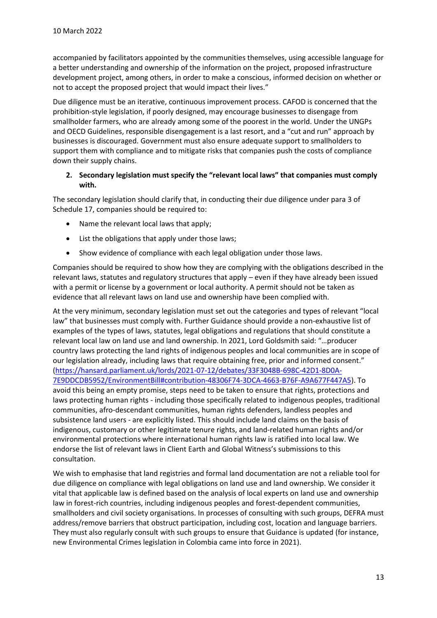accompanied by facilitators appointed by the communities themselves, using accessible language for a better understanding and ownership of the information on the project, proposed infrastructure development project, among others, in order to make a conscious, informed decision on whether or not to accept the proposed project that would impact their lives."

Due diligence must be an iterative, continuous improvement process. CAFOD is concerned that the prohibition-style legislation, if poorly designed, may encourage businesses to disengage from smallholder farmers, who are already among some of the poorest in the world. Under the UNGPs and OECD Guidelines, responsible disengagement is a last resort, and a "cut and run" approach by businesses is discouraged. Government must also ensure adequate support to smallholders to support them with compliance and to mitigate risks that companies push the costs of compliance down their supply chains.

#### **2. Secondary legislation must specify the "relevant local laws" that companies must comply with.**

The secondary legislation should clarify that, in conducting their due diligence under para 3 of Schedule 17, companies should be required to:

- Name the relevant local laws that apply;
- List the obligations that apply under those laws;
- Show evidence of compliance with each legal obligation under those laws.

Companies should be required to show how they are complying with the obligations described in the relevant laws, statutes and regulatory structures that apply – even if they have already been issued with a permit or license by a government or local authority. A permit should not be taken as evidence that all relevant laws on land use and ownership have been complied with.

At the very minimum, secondary legislation must set out the categories and types of relevant "local law" that businesses must comply with. Further Guidance should provide a non-exhaustive list of examples of the types of laws, statutes, legal obligations and regulations that should constitute a relevant local law on land use and land ownership. In 2021, Lord Goldsmith said: "…producer country laws protecting the land rights of indigenous peoples and local communities are in scope of our legislation already, including laws that require obtaining free, prior and informed consent." [\(https://hansard.parliament.uk/lords/2021-07-12/debates/33F3048B-698C-42D1-8D0A-](https://hansard.parliament.uk/lords/2021-07-12/debates/33F3048B-698C-42D1-8D0A-7E9DDCDB5952/EnvironmentBill#contribution-48306F74-3DCA-4663-B76F-A9A677F447A5)[7E9DDCDB5952/EnvironmentBill#contribution-48306F74-3DCA-4663-B76F-A9A677F447A5\)](https://hansard.parliament.uk/lords/2021-07-12/debates/33F3048B-698C-42D1-8D0A-7E9DDCDB5952/EnvironmentBill#contribution-48306F74-3DCA-4663-B76F-A9A677F447A5). To avoid this being an empty promise, steps need to be taken to ensure that rights, protections and laws protecting human rights - including those specifically related to indigenous peoples, traditional communities, afro-descendant communities, human rights defenders, landless peoples and subsistence land users - are explicitly listed. This should include land claims on the basis of indigenous, customary or other legitimate tenure rights, and land-related human rights and/or environmental protections where international human rights law is ratified into local law. We endorse the list of relevant laws in Client Earth and Global Witness's submissions to this consultation.

We wish to emphasise that land registries and formal land documentation are not a reliable tool for due diligence on compliance with legal obligations on land use and land ownership. We consider it vital that applicable law is defined based on the analysis of local experts on land use and ownership law in forest-rich countries, including indigenous peoples and forest-dependent communities, smallholders and civil society organisations. In processes of consulting with such groups, DEFRA must address/remove barriers that obstruct participation, including cost, location and language barriers. They must also regularly consult with such groups to ensure that Guidance is updated (for instance, new Environmental Crimes legislation in Colombia came into force in 2021).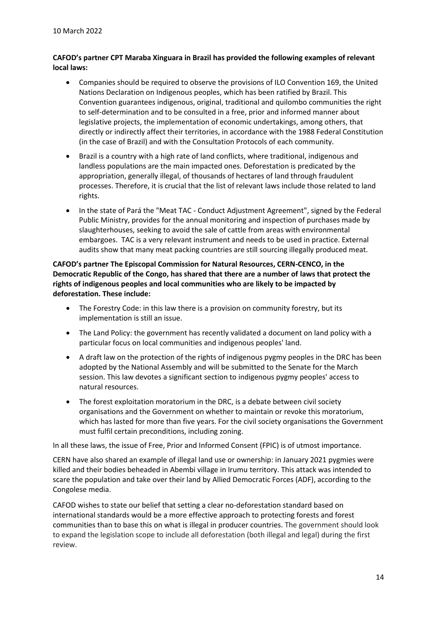#### **CAFOD's partner CPT Maraba Xinguara in Brazil has provided the following examples of relevant local laws:**

- Companies should be required to observe the provisions of ILO Convention 169, the United Nations Declaration on Indigenous peoples, which has been ratified by Brazil. This Convention guarantees indigenous, original, traditional and quilombo communities the right to self-determination and to be consulted in a free, prior and informed manner about legislative projects, the implementation of economic undertakings, among others, that directly or indirectly affect their territories, in accordance with the 1988 Federal Constitution (in the case of Brazil) and with the Consultation Protocols of each community.
- Brazil is a country with a high rate of land conflicts, where traditional, indigenous and landless populations are the main impacted ones. Deforestation is predicated by the appropriation, generally illegal, of thousands of hectares of land through fraudulent processes. Therefore, it is crucial that the list of relevant laws include those related to land rights.
- In the state of Pará the "Meat TAC Conduct Adjustment Agreement", signed by the Federal Public Ministry, provides for the annual monitoring and inspection of purchases made by slaughterhouses, seeking to avoid the sale of cattle from areas with environmental embargoes. TAC is a very relevant instrument and needs to be used in practice. External audits show that many meat packing countries are still sourcing illegally produced meat.

**CAFOD's partner The Episcopal Commission for Natural Resources, CERN-CENCO, in the Democratic Republic of the Congo, has shared that there are a number of laws that protect the rights of indigenous peoples and local communities who are likely to be impacted by deforestation. These include:**

- The Forestry Code: in this law there is a provision on community forestry, but its implementation is still an issue.
- The Land Policy: the government has recently validated a document on land policy with a particular focus on local communities and indigenous peoples' land.
- A draft law on the protection of the rights of indigenous pygmy peoples in the DRC has been adopted by the National Assembly and will be submitted to the Senate for the March session. This law devotes a significant section to indigenous pygmy peoples' access to natural resources.
- The forest exploitation moratorium in the DRC, is a debate between civil society organisations and the Government on whether to maintain or revoke this moratorium, which has lasted for more than five years. For the civil society organisations the Government must fulfil certain preconditions, including zoning.

In all these laws, the issue of Free, Prior and Informed Consent (FPIC) is of utmost importance.

CERN have also shared an example of illegal land use or ownership: in January 2021 pygmies were killed and their bodies beheaded in Abembi village in Irumu territory. This attack was intended to scare the population and take over their land by Allied Democratic Forces (ADF), according to the Congolese media.

CAFOD wishes to state our belief that setting a clear no-deforestation standard based on international standards would be a more effective approach to protecting forests and forest communities than to base this on what is illegal in producer countries. The government should look to expand the legislation scope to include all deforestation (both illegal and legal) during the first review.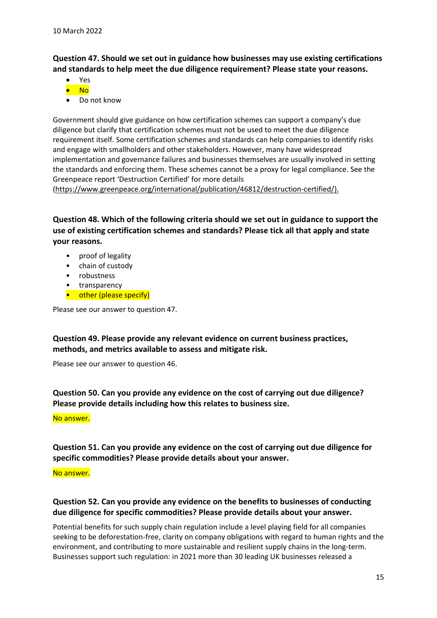**Question 47. Should we set out in guidance how businesses may use existing certifications and standards to help meet the due diligence requirement? Please state your reasons.**

- Yes
- No
- Do not know

Government should give guidance on how certification schemes can support a company's due diligence but clarify that certification schemes must not be used to meet the due diligence requirement itself. Some certification schemes and standards can help companies to identify risks and engage with smallholders and other stakeholders. However, many have widespread implementation and governance failures and businesses themselves are usually involved in setting the standards and enforcing them. These schemes cannot be a proxy for legal compliance. See the Greenpeace report 'Destruction Certified' for more details

[\(https://www.greenpeace.org/international/publication/46812/destruction-certified/\)](https://www.greenpeace.org/international/publication/46812/destruction-certified/).

**Question 48. Which of the following criteria should we set out in guidance to support the use of existing certification schemes and standards? Please tick all that apply and state your reasons.**

- proof of legality
- chain of custody
- robustness
- transparency
- other (please specify)

Please see our answer to question 47.

**Question 49. Please provide any relevant evidence on current business practices, methods, and metrics available to assess and mitigate risk.**

Please see our answer to question 46.

**Question 50. Can you provide any evidence on the cost of carrying out due diligence? Please provide details including how this relates to business size.** 

#### No answer.

**Question 51. Can you provide any evidence on the cost of carrying out due diligence for specific commodities? Please provide details about your answer.** 

#### No answer.

## **Question 52. Can you provide any evidence on the benefits to businesses of conducting due diligence for specific commodities? Please provide details about your answer.**

Potential benefits for such supply chain regulation include a level playing field for all companies seeking to be deforestation-free, clarity on company obligations with regard to human rights and the environment, and contributing to more sustainable and resilient supply chains in the long-term. Businesses support such regulation: in 2021 more than 30 leading UK businesses released a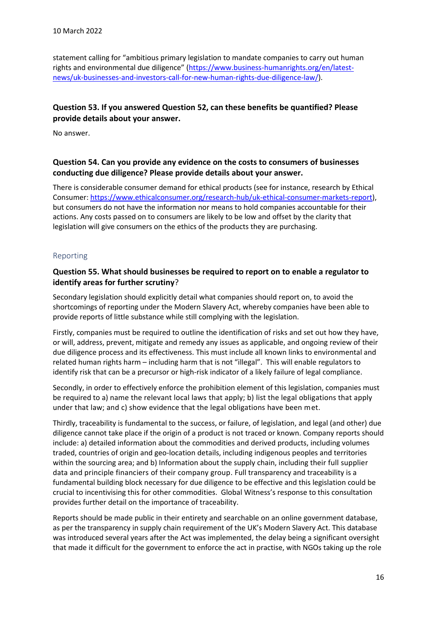statement calling for "ambitious primary legislation to mandate companies to carry out human rights and environmental due diligence" [\(https://www.business-humanrights.org/en/latest](https://www.business-humanrights.org/en/latest-news/uk-businesses-and-investors-call-for-new-human-rights-due-diligence-law/)[news/uk-businesses-and-investors-call-for-new-human-rights-due-diligence-law/\)](https://www.business-humanrights.org/en/latest-news/uk-businesses-and-investors-call-for-new-human-rights-due-diligence-law/).

## **Question 53. If you answered Question 52, can these benefits be quantified? Please provide details about your answer.**

No answer.

#### **Question 54. Can you provide any evidence on the costs to consumers of businesses conducting due diligence? Please provide details about your answer.**

There is considerable consumer demand for ethical products (see for instance, research by Ethical Consumer: [https://www.ethicalconsumer.org/research-hub/uk-ethical-consumer-markets-report\)](https://www.ethicalconsumer.org/research-hub/uk-ethical-consumer-markets-report), but consumers do not have the information nor means to hold companies accountable for their actions. Any costs passed on to consumers are likely to be low and offset by the clarity that legislation will give consumers on the ethics of the products they are purchasing.

#### <span id="page-15-0"></span>Reporting

#### **Question 55. What should businesses be required to report on to enable a regulator to identify areas for further scrutiny**?

Secondary legislation should explicitly detail what companies should report on, to avoid the shortcomings of reporting under the Modern Slavery Act, whereby companies have been able to provide reports of little substance while still complying with the legislation.

Firstly, companies must be required to outline the identification of risks and set out how they have, or will, address, prevent, mitigate and remedy any issues as applicable, and ongoing review of their due diligence process and its effectiveness. This must include all known links to environmental and related human rights harm – including harm that is not "illegal". This will enable regulators to identify risk that can be a precursor or high-risk indicator of a likely failure of legal compliance.

Secondly, in order to effectively enforce the prohibition element of this legislation, companies must be required to a) name the relevant local laws that apply; b) list the legal obligations that apply under that law; and c) show evidence that the legal obligations have been met.

Thirdly, traceability is fundamental to the success, or failure, of legislation, and legal (and other) due diligence cannot take place if the origin of a product is not traced or known. Company reports should include: a) detailed information about the commodities and derived products, including volumes traded, countries of origin and geo-location details, including indigenous peoples and territories within the sourcing area; and b) Information about the supply chain, including their full supplier data and principle financiers of their company group. Full transparency and traceability is a fundamental building block necessary for due diligence to be effective and this legislation could be crucial to incentivising this for other commodities. Global Witness's response to this consultation provides further detail on the importance of traceability.

Reports should be made public in their entirety and searchable on an online government database, as per the transparency in supply chain requirement of the UK's Modern Slavery Act. This database was introduced several years after the Act was implemented, the delay being a significant oversight that made it difficult for the government to enforce the act in practise, with NGOs taking up the role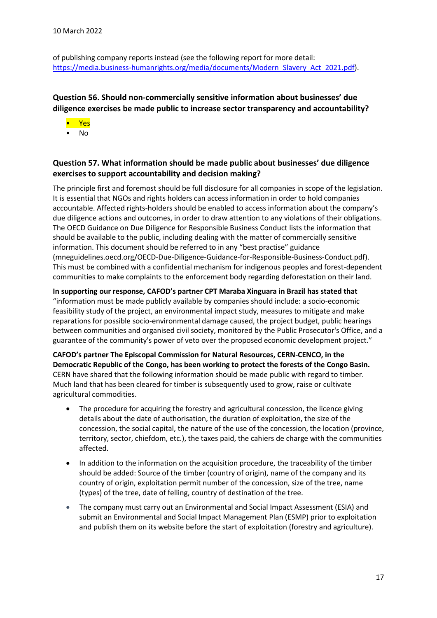of publishing company reports instead (see the following report for more detail: [https://media.business-humanrights.org/media/documents/Modern\\_Slavery\\_Act\\_2021.pdf\)](https://media.business-humanrights.org/media/documents/Modern_Slavery_Act_2021.pdf).

## **Question 56. Should non-commercially sensitive information about businesses' due diligence exercises be made public to increase sector transparency and accountability?**

- Yes
- No

## **Question 57. What information should be made public about businesses' due diligence exercises to support accountability and decision making?**

The principle first and foremost should be full disclosure for all companies in scope of the legislation. It is essential that NGOs and rights holders can access information in order to hold companies accountable. Affected rights-holders should be enabled to access information about the company's due diligence actions and outcomes, in order to draw attention to any violations of their obligations. The OECD Guidance on Due Diligence for Responsible Business Conduct lists the information that should be available to the public, including dealing with the matter of commercially sensitive information. This document should be referred to in any "best practise" guidance [\(mneguidelines.oecd.org/OECD-Due-Diligence-Guidance-for-Responsible-Business-Conduct.pdf\)](http://mneguidelines.oecd.org/OECD-Due-Diligence-Guidance-for-Responsible-Business-Conduct.pdf). This must be combined with a confidential mechanism for indigenous peoples and forest-dependent communities to make complaints to the enforcement body regarding deforestation on their land.

**In supporting our response, CAFOD's partner CPT Maraba Xinguara in Brazil has stated that**  "information must be made publicly available by companies should include: a socio-economic feasibility study of the project, an environmental impact study, measures to mitigate and make reparations for possible socio-environmental damage caused, the project budget, public hearings between communities and organised civil society, monitored by the Public Prosecutor's Office, and a guarantee of the community's power of veto over the proposed economic development project."

**CAFOD's partner The Episcopal Commission for Natural Resources, CERN-CENCO, in the Democratic Republic of the Congo, has been working to protect the forests of the Congo Basin.**  CERN have shared that the following information should be made public with regard to timber. Much land that has been cleared for timber is subsequently used to grow, raise or cultivate agricultural commodities.

- The procedure for acquiring the forestry and agricultural concession, the licence giving details about the date of authorisation, the duration of exploitation, the size of the concession, the social capital, the nature of the use of the concession, the location (province, territory, sector, chiefdom, etc.), the taxes paid, the cahiers de charge with the communities affected.
- In addition to the information on the acquisition procedure, the traceability of the timber should be added: Source of the timber (country of origin), name of the company and its country of origin, exploitation permit number of the concession, size of the tree, name (types) of the tree, date of felling, country of destination of the tree.
- The company must carry out an Environmental and Social Impact Assessment (ESIA) and submit an Environmental and Social Impact Management Plan (ESMP) prior to exploitation and publish them on its website before the start of exploitation (forestry and agriculture).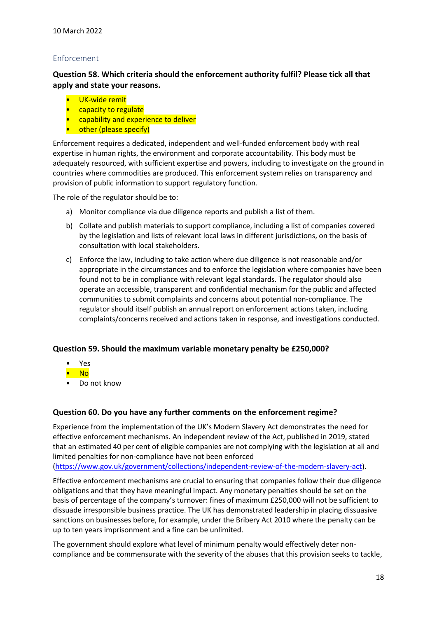## <span id="page-17-0"></span>Enforcement

**Question 58. Which criteria should the enforcement authority fulfil? Please tick all that apply and state your reasons.**

- UK-wide remit
- capacity to regulate
- capability and experience to deliver
- other (please specify)

Enforcement requires a dedicated, independent and well-funded enforcement body with real expertise in human rights, the environment and corporate accountability. This body must be adequately resourced, with sufficient expertise and powers, including to investigate on the ground in countries where commodities are produced. This enforcement system relies on transparency and provision of public information to support regulatory function.

The role of the regulator should be to:

- a) Monitor compliance via due diligence reports and publish a list of them.
- b) Collate and publish materials to support compliance, including a list of companies covered by the legislation and lists of relevant local laws in different jurisdictions, on the basis of consultation with local stakeholders.
- c) Enforce the law, including to take action where due diligence is not reasonable and/or appropriate in the circumstances and to enforce the legislation where companies have been found not to be in compliance with relevant legal standards. The regulator should also operate an accessible, transparent and confidential mechanism for the public and affected communities to submit complaints and concerns about potential non-compliance. The regulator should itself publish an annual report on enforcement actions taken, including complaints/concerns received and actions taken in response, and investigations conducted.

#### **Question 59. Should the maximum variable monetary penalty be £250,000?**

- Yes
- No
- Do not know

#### **Question 60. Do you have any further comments on the enforcement regime?**

Experience from the implementation of the UK's Modern Slavery Act demonstrates the need for effective enforcement mechanisms. An independent review of the Act, published in 2019, stated that an estimated 40 per cent of eligible companies are not complying with the legislation at all and limited penalties for non-compliance have not been enforced

[\(https://www.gov.uk/government/collections/independent-review-of-the-modern-slavery-act\)](https://www.gov.uk/government/collections/independent-review-of-the-modern-slavery-act).

Effective enforcement mechanisms are crucial to ensuring that companies follow their due diligence obligations and that they have meaningful impact. Any monetary penalties should be set on the basis of percentage of the company's turnover: fines of maximum £250,000 will not be sufficient to dissuade irresponsible business practice. The UK has demonstrated leadership in placing dissuasive sanctions on businesses before, for example, under the Bribery Act 2010 where the penalty can be up to ten years imprisonment and a fine can be unlimited.

The government should explore what level of minimum penalty would effectively deter noncompliance and be commensurate with the severity of the abuses that this provision seeks to tackle,